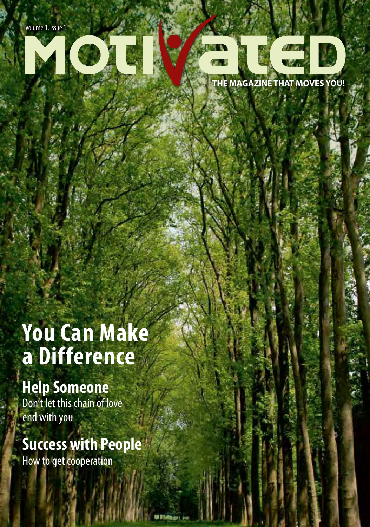

### **THE MAGAZINE THAT MOVES YOU!**

## **You Can Make a Difference**

### **Help Someone** Don't let this chain of love end with you

### **Success with People**

How to get cooperation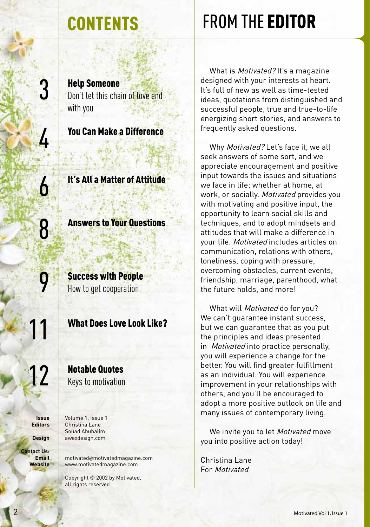Help Someone Don't let this chain of love end with you

You Can Make a Difference

### It's All a Matter of Attitude

Answers to Your Questions

Success with People How to get cooperation

### What Does Love Look Like?

**Notable Quotes**<br>Keys to motivation

**Issue Editors**

3

4

6

8

9

**Design**

**Contact Us: Email Website** Volume 1, Issue 1 Christina Lane Souad Abuhalim

awexdesign.com

motivated@motivatedmagazine.com www.motivatedmagazine.com

Copyright © 2002 by Motivated, all rights reserved

### CONTENTS FROM THE EDITOR

What is *Motivated?* It's a magazine designed with your interests at heart. It's full of new as well as time-tested ideas, quotations from distinguished and successful people, true and true-to-life energizing short stories, and answers to frequently asked questions.

Why Motivated? Let's face it, we all seek answers of some sort, and we appreciate encouragement and positive input towards the issues and situations we face in life; whether at home, at work, or socially. Motivated provides you with motivating and positive input, the opportunity to learn social skills and techniques, and to adopt mindsets and attitudes that will make a difference in your life. Motivated includes articles on communication, relations with others, loneliness, coping with pressure, overcoming obstacles, current events, friendship, marriage, parenthood, what the future holds, and more!

What will Motivated do for you? We can't guarantee instant success, but we can guarantee that as you put the principles and ideas presented in *Motivated* into practice personally, you will experience a change for the better. You will find greater fulfillment as an individual. You will experience improvement in your relationships with others, and you'll be encouraged to adopt a more positive outlook on life and many issues of contemporary living.

We invite you to let Motivated move you into positive action today!

Christina Lane For Motivated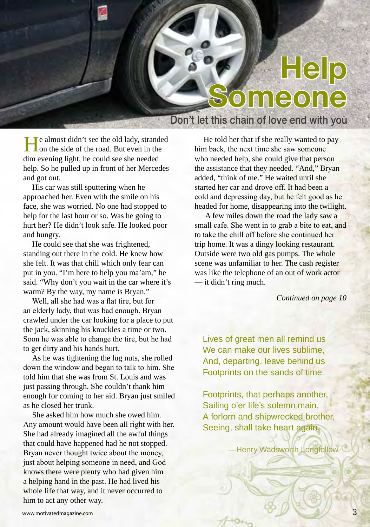# Help Someone

Don't let this chain of love end with you

He almost didn't see the old lady, stranded on the side of the road. But even in the dim evening light, he could see she needed help. So he pulled up in front of her Mercedes and got out.

His car was still sputtering when he approached her. Even with the smile on his face, she was worried. No one had stopped to help for the last hour or so. Was he going to hurt her? He didn't look safe. He looked poor and hungry.

He could see that she was frightened, standing out there in the cold. He knew how she felt. It was that chill which only fear can put in you. "I'm here to help you ma'am," he said. "Why don't you wait in the car where it's warm? By the way, my name is Bryan."

Well, all she had was a flat tire, but for an elderly lady, that was bad enough. Bryan crawled under the car looking for a place to put the jack, skinning his knuckles a time or two. Soon he was able to change the tire, but he had to get dirty and his hands hurt.

As he was tightening the lug nuts, she rolled down the window and began to talk to him. She told him that she was from St. Louis and was just passing through. She couldn't thank him enough for coming to her aid. Bryan just smiled as he closed her trunk.

She asked him how much she owed him. Any amount would have been all right with her. She had already imagined all the awful things that could have happened had he not stopped. Bryan never thought twice about the money, just about helping someone in need, and God knows there were plenty who had given him a helping hand in the past. He had lived his whole life that way, and it never occurred to him to act any other way.

He told her that if she really wanted to pay him back, the next time she saw someone who needed help, she could give that person the assistance that they needed. "And," Bryan added, "think of me." He waited until she started her car and drove off. It had been a cold and depressing day, but he felt good as he headed for home, disappearing into the twilight.

 A few miles down the road the lady saw a small cafe. She went in to grab a bite to eat, and to take the chill off before she continued her trip home. It was a dingy looking restaurant. Outside were two old gas pumps. The whole scene was unfamiliar to her. The cash register was like the telephone of an out of work actor — it didn't ring much.

*Continued on page 10*

Lives of great men all remind us We can make our lives sublime. And, departing, leave behind us Footprints on the sands of time.

Footprints, that perhaps another, Sailing o'er life's solemn main, A forlorn and shipwrecked brother, Seeing, shall take heart again.

—Henry Wadsworth Longfellow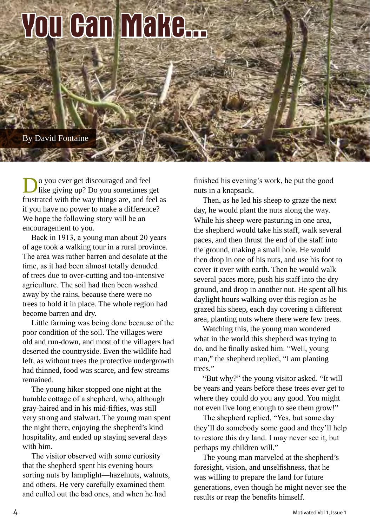# **You Can Make...**

By David Fontaine

Do you ever get discouraged and feel<br>like giving up? Do you sometimes get frustrated with the way things are, and feel as if you have no power to make a difference? We hope the following story will be an encouragement to you.

Back in 1913, a young man about 20 years of age took a walking tour in a rural province. The area was rather barren and desolate at the time, as it had been almost totally denuded of trees due to over-cutting and too-intensive agriculture. The soil had then been washed away by the rains, because there were no trees to hold it in place. The whole region had become barren and dry.

Little farming was being done because of the poor condition of the soil. The villages were old and run-down, and most of the villagers had deserted the countryside. Even the wildlife had left, as without trees the protective undergrowth had thinned, food was scarce, and few streams remained.

The young hiker stopped one night at the humble cottage of a shepherd, who, although gray-haired and in his mid-fifties, was still very strong and stalwart. The young man spent the night there, enjoying the shepherd's kind hospitality, and ended up staying several days with him.

The visitor observed with some curiosity that the shepherd spent his evening hours sorting nuts by lamplight—hazelnuts, walnuts, and others. He very carefully examined them and culled out the bad ones, and when he had

finished his evening's work, he put the good nuts in a knapsack.

Then, as he led his sheep to graze the next day, he would plant the nuts along the way. While his sheep were pasturing in one area, the shepherd would take his staff, walk several paces, and then thrust the end of the staff into the ground, making a small hole. He would then drop in one of his nuts, and use his foot to cover it over with earth. Then he would walk several paces more, push his staff into the dry ground, and drop in another nut. He spent all his daylight hours walking over this region as he grazed his sheep, each day covering a different area, planting nuts where there were few trees.

Watching this, the young man wondered what in the world this shepherd was trying to do, and he finally asked him. "Well, young man," the shepherd replied, "I am planting trees."

"But why?" the young visitor asked. "It will be years and years before these trees ever get to where they could do you any good. You might not even live long enough to see them grow!"

The shepherd replied, "Yes, but some day they'll do somebody some good and they'll help to restore this dry land. I may never see it, but perhaps my children will."

The young man marveled at the shepherd's foresight, vision, and unselfishness, that he was willing to prepare the land for future generations, even though he might never see the results or reap the benefits himself.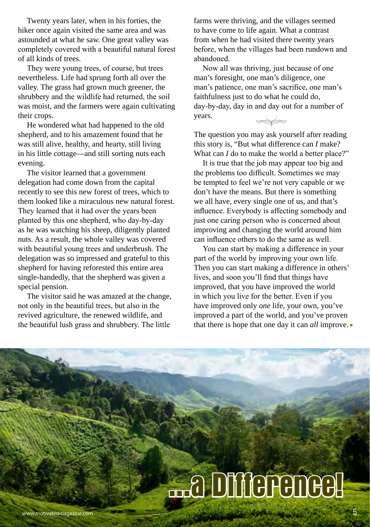Twenty years later, when in his forties, the hiker once again visited the same area and was astounded at what he saw. One great valley was completely covered with a beautiful natural forest of all kinds of trees.

They were young trees, of course, but trees nevertheless. Life had sprung forth all over the valley. The grass had grown much greener, the shrubbery and the wildlife had returned, the soil was moist, and the farmers were again cultivating their crops.

He wondered what had happened to the old shepherd, and to his amazement found that he was still alive, healthy, and hearty, still living in his little cottage—and still sorting nuts each evening.

The visitor learned that a government delegation had come down from the capital recently to see this new forest of trees, which to them looked like a miraculous new natural forest. They learned that it had over the years been planted by this one shepherd, who day-by-day as he was watching his sheep, diligently planted nuts. As a result, the whole valley was covered with beautiful young trees and underbrush. The delegation was so impressed and grateful to this shepherd for having reforested this entire area single-handedly, that the shepherd was given a special pension.

The visitor said he was amazed at the change, not only in the beautiful trees, but also in the revived agriculture, the renewed wildlife, and the beautiful lush grass and shrubbery. The little

farms were thriving, and the villages seemed to have come to life again. What a contrast from when he had visited there twenty years before, when the villages had been rundown and abandoned.

Now all was thriving, just because of one man's foresight, one man's diligence, one man's patience, one man's sacrifice, one man's faithfulness just to do what he could do, day-by-day, day in and day out for a number of years.

The question you may ask yourself after reading this story is, "But what difference can *I* make? What can *I* do to make the world a better place?"

It is true that the job may appear too big and the problems too difficult. Sometimes we may be tempted to feel we're not very capable or we don't have the means. But there is something we all have, every single one of us, and that's influence. Everybody is affecting somebody and just one caring person who is concerned about improving and changing the world around him can influence others to do the same as well.

You can start by making a difference in your part of the world by improving your own life. Then you can start making a difference in others' lives, and soon you'll find that things have improved, that you have improved the world in which you live for the better. Even if you have improved only *one* life, your own, you've improved a part of the world, and you've proven that there is hope that one day it can *all* improve.

# **...a Difference!**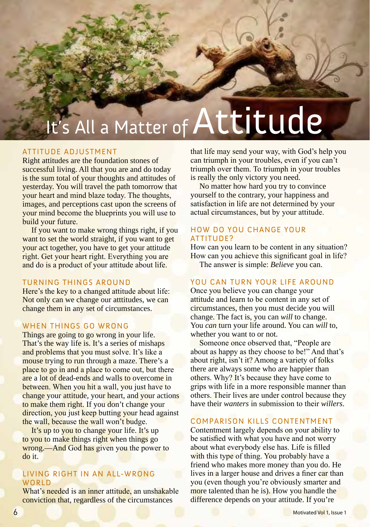# It's All a Matter of Attitude

#### ATTITUDE ADJUSTMENT

Right attitudes are the foundation stones of successful living. All that you are and do today is the sum total of your thoughts and attitudes of yesterday. You will travel the path tomorrow that your heart and mind blaze today. The thoughts, images, and perceptions cast upon the screens of your mind become the blueprints you will use to build your future.

If you want to make wrong things right, if you want to set the world straight, if you want to get your act together, you have to get your attitude right. Get your heart right. Everything you are and do is a product of your attitude about life.

#### TURNING THINGS AROUND

Here's the key to a changed attitude about life: Not only can we change our atttitudes, we can change them in any set of circumstances.

#### WHEN THINGS GO WRONG

Things are going to go wrong in your life. That's the way life is. It's a series of mishaps and problems that you must solve. It's like a mouse trying to run through a maze. There's a place to go in and a place to come out, but there are a lot of dead-ends and walls to overcome in between. When you hit a wall, you just have to change your attitude, your heart, and your actions to make them right. If you don't change your direction, you just keep butting your head against the wall, because the wall won't budge.

It's up to you to change your life. It's up to you to make things right when things go wrong.—And God has given you the power to do it.

#### LIVING RIGHT IN AN ALL-WRONG **WORLD**

What's needed is an inner attitude, an unshakable conviction that, regardless of the circumstances

that life may send your way, with God's help you can triumph in your troubles, even if you can't triumph over them. To triumph in your troubles is really the only victory you need.

No matter how hard you try to convince yourself to the contrary, your happiness and satisfaction in life are not determined by your actual circumstances, but by your attitude.

#### HOW DO YOU CHANGE YOUR ATTITUDE?

How can you learn to be content in any situation? How can you achieve this significant goal in life? The answer is simple: *Believe* you can.

#### YOU CAN TURN YOUR LIFE AROUND

Once you believe you can change your attitude and learn to be content in any set of circumstances, then you must decide you will change. The fact is, you can *will* to change. You *can* turn your life around. You can *will* to, whether you want to or not.

Someone once observed that, "People are about as happy as they choose to be!" And that's about right, isn't it? Among a variety of folks there are always some who are happier than others. Why? It's because they have come to grips with life in a more responsible manner than others. Their lives are under control because they have their *wanters* in submission to their *willers*.

#### COMPARISON KILLS CONTENTMENT

Contentment largely depends on your ability to be satisfied with what you have and not worry about what everybody else has. Life is filled with this type of thing. You probably have a friend who makes more money than you do. He lives in a larger house and drives a finer car than you (even though you're obviously smarter and more talented than he is). How you handle the difference depends on your attitude. If you're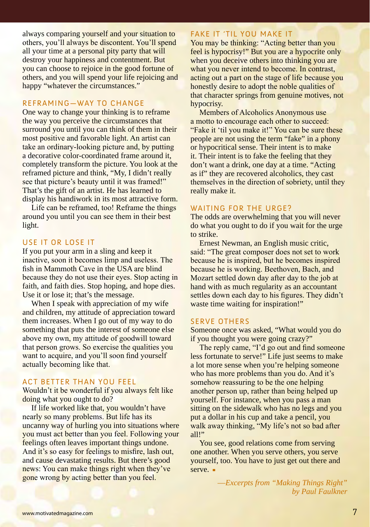always comparing yourself and your situation to others, you'll always be discontent. You'll spend all your time at a personal pity party that will destroy your happiness and contentment. But you can choose to rejoice in the good fortune of others, and you will spend your life rejoicing and happy "whatever the circumstances."

#### REFRAMING—WAY TO CHANGE

One way to change your thinking is to reframe the way you perceive the circumstances that surround you until you can think of them in their most positive and favorable light. An artist can take an ordinary-looking picture and, by putting a decorative color-coordinated frame around it, completely transform the picture. You look at the reframed picture and think, "My, I didn't really see that picture's beauty until it was framed!" That's the gift of an artist. He has learned to display his handiwork in its most attractive form.

Life can be reframed, too! Reframe the things around you until you can see them in their best light.

#### USE IT OR LOSE IT

If you put your arm in a sling and keep it inactive, soon it becomes limp and useless. The fish in Mammoth Cave in the USA are blind because they do not use their eyes. Stop acting in faith, and faith dies. Stop hoping, and hope dies. Use it or lose it; that's the message.

When I speak with appreciation of my wife and children, my attitude of appreciation toward them increases. When I go out of my way to do something that puts the interest of someone else above my own, my attitude of goodwill toward that person grows. So exercise the qualities you want to acquire, and you'll soon find yourself actually becoming like that.

#### ACT BETTER THAN YOU FEEL

Wouldn't it be wonderful if you always felt like doing what you ought to do?

If life worked like that, you wouldn't have nearly so many problems. But life has its uncanny way of hurling you into situations where you must act better than you feel. Following your feelings often leaves important things undone. And it's so easy for feelings to misfire, lash out, and cause devastating results. But there's good news: You can make things right when they've gone wrong by acting better than you feel.

#### FAKE IT 'TIL YOU MAKE IT

You may be thinking: "Acting better than you feel is hypocrisy!" But you are a hypocrite only when you deceive others into thinking you are what you never intend to become. In contrast, acting out a part on the stage of life because you honestly desire to adopt the noble qualities of that character springs from genuine motives, not hypocrisy.

Members of Alcoholics Anonymous use a motto to encourage each other to succeed: "Fake it 'til you make it!" You can be sure these people are not using the term "fake" in a phony or hypocritical sense. Their intent is to make it. Their intent is to fake the feeling that they don't want a drink, one day at a time. "Acting as if" they are recovered alcoholics, they cast themselves in the direction of sobriety, until they really make it.

#### WAITING FOR THE URGE?

The odds are overwhelming that you will never do what you ought to do if you wait for the urge to strike.

Ernest Newman, an English music critic, said: "The great composer does not set to work because he is inspired, but he becomes inspired because he is working. Beethoven, Bach, and Mozart settled down day after day to the job at hand with as much regularity as an accountant settles down each day to his figures. They didn't waste time waiting for inspiration!"

#### SERVE OTHERS

Someone once was asked, "What would you do if you thought you were going crazy?"

The reply came, "I'd go out and find someone less fortunate to serve!" Life just seems to make a lot more sense when you're helping someone who has more problems than you do. And it's somehow reassuring to be the one helping another person up, rather than being helped up yourself. For instance, when you pass a man sitting on the sidewalk who has no legs and you put a dollar in his cup and take a pencil, you walk away thinking, "My life's not so bad after  $all"$ 

You see, good relations come from serving one another. When you serve others, you serve yourself, too. You have to just get out there and serve.  $\blacksquare$ 

> —*Excerpts from "Making Things Right" by Paul Faulkner*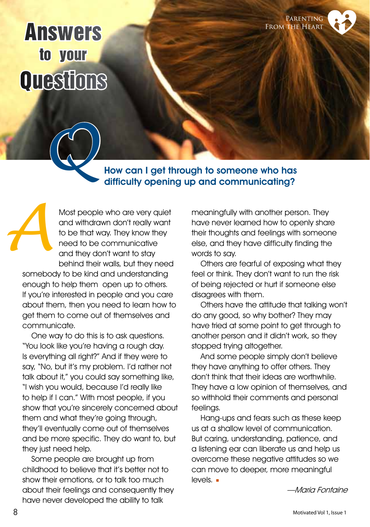## **Answers** to your **Questions**

PARENTING **FROM THE HEART** 

How can I get through to someone who has *difficulty opening up and communicating?* 

Most people who are very quiet and withdrawn don't really want to be that way. They know they need to be communicative and they don't want to stay

*A* behind their walls, but they need somebody to be kind and understanding enough to help them open up to others. If you're interested in people and you care about them, then you need to learn how to get them to come out of themselves and communicate.

One way to do this is to ask questions. "You look like you're having a rough day. Is everything all right?" And if they were to say, "No, but it's my problem. I'd rather not talk about it," you could say something like, "I wish you would, because I'd really like to help if I can." With most people, if you show that you're sincerely concerned about them and what they're going through, they'll eventually come out of themselves and be more specific. They do want to, but they just need help.

Some people are brought up from childhood to believe that it's better not to show their emotions, or to talk too much about their feelings and consequently they have never developed the ability to talk

meaningfully with another person. They have never learned how to openly share their thoughts and feelings with someone else, and they have difficulty finding the words to say.

Others are fearful of exposing what they feel or think. They don't want to run the risk of being rejected or hurt if someone else disagrees with them.

Others have the attitude that talking won't do any good, so why bother? They may have tried at some point to get through to another person and it didn't work, so they stopped trying altogether.

And some people simply don't believe they have anything to offer others. They don't think that their ideas are worthwhile. They have a low opinion of themselves, and so withhold their comments and personal feelings.

Hang-ups and fears such as these keep us at a shallow level of communication. But caring, understanding, patience, and a listening ear can liberate us and help us overcome these negative attitudes so we can move to deeper, more meaningful levels.

—Maria Fontaine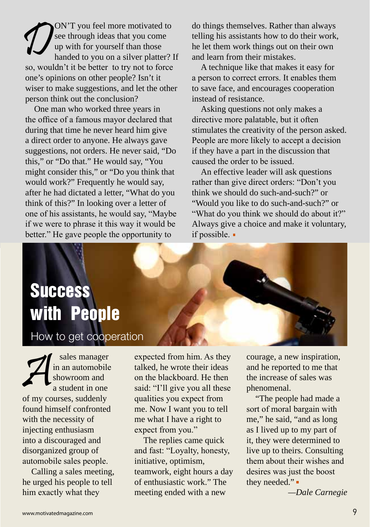ON'T you teel more motivated to<br>see through ideas that you come<br>up with for yourself than those<br>handed to you on a silver platter? I<br>so, wouldn't it be better to try not to force ON'T you feel more motivated to see through ideas that you come up with for yourself than those handed to you on a silver platter? If one's opinions on other people? Isn't it wiser to make suggestions, and let the other person think out the conclusion?

One man who worked three years in the office of a famous mayor declared that during that time he never heard him give a direct order to anyone. He always gave suggestions, not orders. He never said, "Do this," or "Do that." He would say, "You might consider this," or "Do you think that would work?" Frequently he would say, after he had dictated a letter, "What do you think of this?" In looking over a letter of one of his assistants, he would say, "Maybe if we were to phrase it this way it would be better." He gave people the opportunity to

do things themselves. Rather than always telling his assistants how to do their work, he let them work things out on their own and learn from their mistakes.

A technique like that makes it easy for a person to correct errors. It enables them to save face, and encourages cooperation instead of resistance.

Asking questions not only makes a directive more palatable, but it often stimulates the creativity of the person asked. People are more likely to accept a decision if they have a part in the discussion that caused the order to be issued.

An effective leader will ask questions rather than give direct orders: "Don't you think we should do such-and-such?" or "Would you like to do such-and-such?" or "What do you think we should do about it?" Always give a choice and make it voluntary, if possible.

### How to get cooperation **Success** with People

sales manager<br>
in an automobile<br>
showroom and<br>
a student in one<br>
of my courses, suddenly sales manager in an automobile showroom and a student in one found himself confronted with the necessity of injecting enthusiasm into a discouraged and disorganized group of automobile sales people.

Calling a sales meeting, he urged his people to tell him exactly what they

expected from him. As they talked, he wrote their ideas on the blackboard. He then said: "I'll give you all these qualities you expect from me. Now I want you to tell me what I have a right to expect from you."

The replies came quick and fast: "Loyalty, honesty, initiative, optimism, teamwork, eight hours a day of enthusiastic work." The meeting ended with a new

courage, a new inspiration, and he reported to me that the increase of sales was phenomenal.

"The people had made a sort of moral bargain with me," he said, "and as long as I lived up to my part of it, they were determined to live up to theirs. Consulting them about their wishes and desires was just the boost they needed."

*—Dale Carnegie*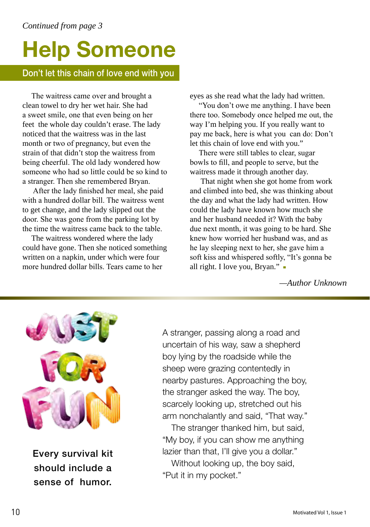## Help Someone

### Don't let this chain of love end with you

The waitress came over and brought a clean towel to dry her wet hair. She had a sweet smile, one that even being on her feet the whole day couldn't erase. The lady noticed that the waitress was in the last month or two of pregnancy, but even the strain of that didn't stop the waitress from being cheerful. The old lady wondered how someone who had so little could be so kind to a stranger. Then she remembered Bryan.

 After the lady finished her meal, she paid with a hundred dollar bill. The waitress went to get change, and the lady slipped out the door. She was gone from the parking lot by the time the waitress came back to the table.

The waitress wondered where the lady could have gone. Then she noticed something written on a napkin, under which were four more hundred dollar bills. Tears came to her

eyes as she read what the lady had written.

"You don't owe me anything. I have been there too. Somebody once helped me out, the way I'm helping you. If you really want to pay me back, here is what you can do: Don't let this chain of love end with you."

There were still tables to clear, sugar bowls to fill, and people to serve, but the waitress made it through another day.

 That night when she got home from work and climbed into bed, she was thinking about the day and what the lady had written. How could the lady have known how much she and her husband needed it? With the baby due next month, it was going to be hard. She knew how worried her husband was, and as he lay sleeping next to her, she gave him a soft kiss and whispered softly, "It's gonna be all right. I love you, Bryan."

*—Author Unknown*



Every survival kit should include a sense of humor.

A stranger, passing along a road and uncertain of his way, saw a shepherd boy lying by the roadside while the sheep were grazing contentedly in nearby pastures. Approaching the boy, the stranger asked the way. The boy, scarcely looking up, stretched out his arm nonchalantly and said, "That way."

The stranger thanked him, but said, "My boy, if you can show me anything lazier than that, I'll give you a dollar."

Without looking up, the boy said, "Put it in my pocket."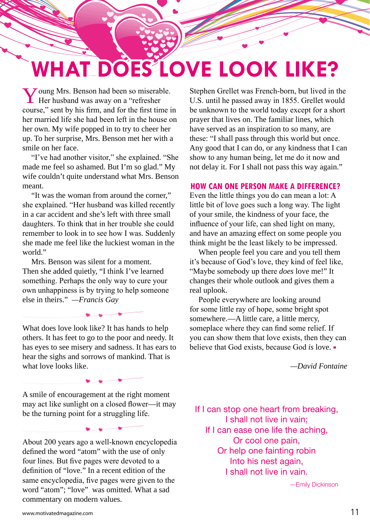## **WHAT DOES LOVE LOOK LIKE?**

Young Mrs. Benson had been so miserable. Her husband was away on a "refresher course," sent by his firm, and for the first time in her married life she had been left in the house on her own. My wife popped in to try to cheer her up. To her surprise, Mrs. Benson met her with a smile on her face.

"I've had another visitor," she explained. "She made me feel so ashamed. But I'm so glad." My wife couldn't quite understand what Mrs. Benson meant.

"It was the woman from around the corner," she explained. "Her husband was killed recently in a car accident and she's left with three small daughters. To think that in her trouble she could remember to look in to see how I was. Suddenly she made me feel like the luckiest woman in the world."

Mrs. Benson was silent for a moment. Then she added quietly, "I think I've learned something. Perhaps the only way to cure your own unhappiness is by trying to help someone else in theirs." *—Francis Gay*

What does love look like? It has hands to help others. It has feet to go to the poor and needy. It has eyes to see misery and sadness. It has ears to hear the sighs and sorrows of mankind. That is what love looks like.

A smile of encouragement at the right moment may act like sunlight on a closed flower—it may be the turning point for a struggling life.

About 200 years ago a well-known encyclopedia defined the word "atom" with the use of only four lines. But five pages were devoted to a definition of "love." In a recent edition of the same encyclopedia, five pages were given to the word "atom"; "love" was omitted. What a sad commentary on modern values.

Stephen Grellet was French-born, but lived in the U.S. until he passed away in 1855. Grellet would be unknown to the world today except for a short prayer that lives on. The familiar lines, which have served as an inspiration to so many, are these: "I shall pass through this world but once. Any good that I can do, or any kindness that I can show to any human being, let me do it now and not delay it. For I shall not pass this way again."

#### **How can one person make a difference?**

Even the little things you do can mean a lot: A little bit of love goes such a long way. The light of your smile, the kindness of your face, the influence of your life, can shed light on many, and have an amazing effect on some people you think might be the least likely to be impressed.

When people feel you care and you tell them it's because of God's love, they kind of feel like, "Maybe somebody up there *does* love me!" It changes their whole outlook and gives them a real uplook.

People everywhere are looking around for some little ray of hope, some bright spot somewhere.—A little care, a little mercy, someplace where they can find some relief. If you can show them that love exists, then they can believe that God exists, because God *is* love.

*—David Fontaine*

If I can stop one heart from breaking, I shall not live in vain; If I can ease one life the aching, Or cool one pain, Or help one fainting robin Into his nest again, I shall not live in vain.

—Emily Dickinson